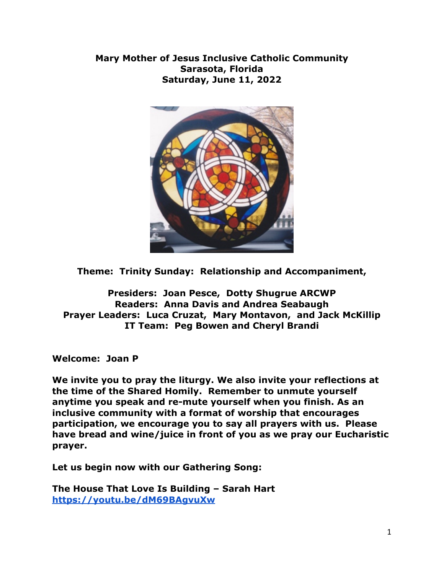**Mary Mother of Jesus Inclusive Catholic Community Sarasota, Florida Saturday, June 11, 2022**



**Theme: Trinity Sunday: Relationship and Accompaniment,**

**Presiders: Joan Pesce, Dotty Shugrue ARCWP Readers: Anna Davis and Andrea Seabaugh Prayer Leaders: Luca Cruzat, Mary Montavon, and Jack McKillip IT Team: Peg Bowen and Cheryl Brandi**

**Welcome: Joan P**

**We invite you to pray the liturgy. We also invite your reflections at the time of the Shared Homily. Remember to unmute yourself anytime you speak and re-mute yourself when you finish. As an inclusive community with a format of worship that encourages participation, we encourage you to say all prayers with us. Please have bread and wine/juice in front of you as we pray our Eucharistic prayer.**

**Let us begin now with our Gathering Song:**

**The House That Love Is Building – Sarah Hart <https://youtu.be/dM69BAgvuXw>**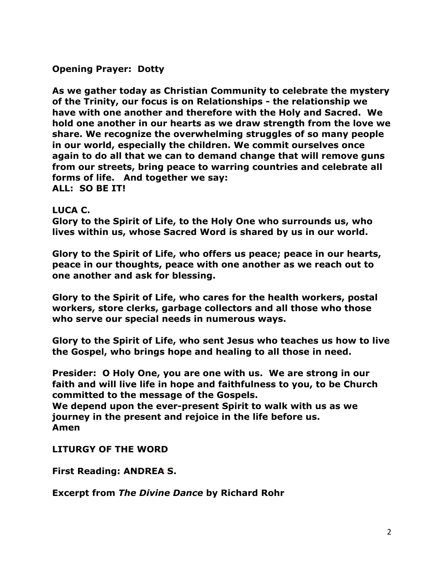# **Opening Prayer: Dotty**

**As we gather today as Christian Community to celebrate the mystery of the Trinity, our focus is on Relationships - the relationship we have with one another and therefore with the Holy and Sacred. We hold one another in our hearts as we draw strength from the love we share. We recognize the overwhelming struggles of so many people in our world, especially the children. We commit ourselves once again to do all that we can to demand change that will remove guns from our streets, bring peace to warring countries and celebrate all forms of life. And together we say: ALL: SO BE IT!**

#### **LUCA C.**

**Glory to the Spirit of Life, to the Holy One who surrounds us, who lives within us, whose Sacred Word is shared by us in our world.**

**Glory to the Spirit of Life, who offers us peace; peace in our hearts, peace in our thoughts, peace with one another as we reach out to one another and ask for blessing.** 

**Glory to the Spirit of Life, who cares for the health workers, postal workers, store clerks, garbage collectors and all those who those who serve our special needs in numerous ways.**

**Glory to the Spirit of Life, who sent Jesus who teaches us how to live the Gospel, who brings hope and healing to all those in need.** 

**Presider: O Holy One, you are one with us. We are strong in our faith and will live life in hope and faithfulness to you, to be Church committed to the message of the Gospels.**

**We depend upon the ever-present Spirit to walk with us as we journey in the present and rejoice in the life before us. Amen**

**LITURGY OF THE WORD**

**First Reading: ANDREA S.**

**Excerpt from** *The Divine Dance* **by Richard Rohr**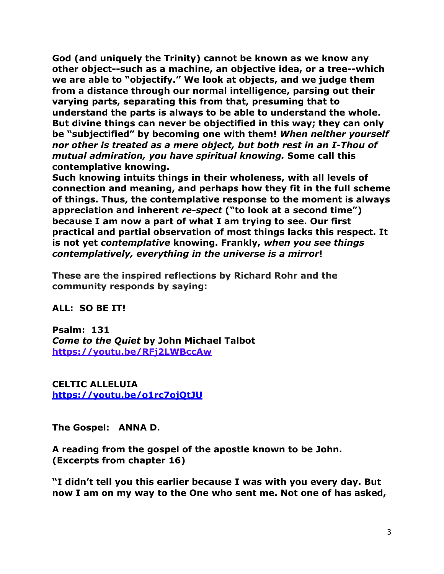**God (and uniquely the Trinity) cannot be known as we know any other object--such as a machine, an objective idea, or a tree--which we are able to "objectify." We look at objects, and we judge them from a distance through our normal intelligence, parsing out their varying parts, separating this from that, presuming that to understand the parts is always to be able to understand the whole. But divine things can never be objectified in this way; they can only be "subjectified" by becoming one with them!** *When neither yourself nor other is treated as a mere object, but both rest in an I-Thou of mutual admiration, you have spiritual knowing.* **Some call this contemplative knowing.**

**Such knowing intuits things in their wholeness, with all levels of connection and meaning, and perhaps how they fit in the full scheme of things. Thus, the contemplative response to the moment is always appreciation and inherent** *re-spect* **("to look at a second time") because I am now a part of what I am trying to see. Our first practical and partial observation of most things lacks this respect. It is not yet** *contemplative* **knowing. Frankly,** *when you see things contemplatively, everything in the universe is a mirror***!**

**These are the inspired reflections by Richard Rohr and the community responds by saying:**

#### **ALL: SO BE IT!**

**Psalm: 131** *Come to the Quiet* **by John Michael Talbot <https://youtu.be/RFj2LWBccAw>**

**CELTIC ALLELUIA <https://youtu.be/o1rc7ojQtJU>**

**The Gospel: ANNA D.**

**A reading from the gospel of the apostle known to be John. (Excerpts from chapter 16)**

**"I didn't tell you this earlier because I was with you every day. But now I am on my way to the One who sent me. Not one of has asked,**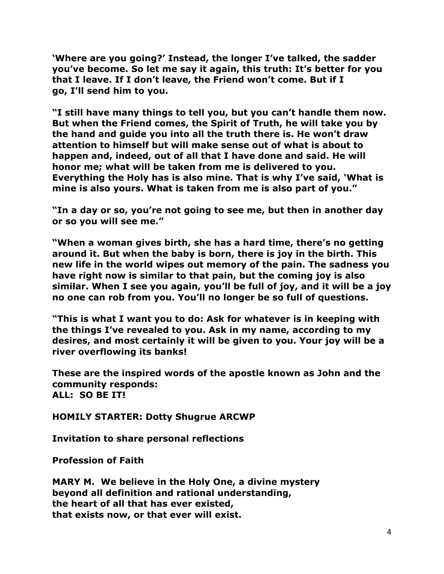**'Where are you going?' Instead, the longer I've talked, the sadder you've become. So let me say it again, this truth: It's better for you that I leave. If I don't leave, the Friend won't come. But if I go, I'll send him to you.**

**"I still have many things to tell you, but you can't handle them now. But when the Friend comes, the Spirit of Truth, he will take you by the hand and guide you into all the truth there is. He won't draw attention to himself but will make sense out of what is about to happen and, indeed, out of all that I have done and said. He will honor me; what will be taken from me is delivered to you. Everything the Holy has is also mine. That is why I've said, 'What is mine is also yours. What is taken from me is also part of you."** 

**"In a day or so, you're not going to see me, but then in another day or so you will see me."**

**"When a woman gives birth, she has a hard time, there's no getting around it. But when the baby is born, there is joy in the birth. This new life in the world wipes out memory of the pain. The sadness you have right now is similar to that pain, but the coming joy is also similar. When I see you again, you'll be full of joy, and it will be a joy no one can rob from you. You'll no longer be so full of questions.**

**"This is what I want you to do: Ask for whatever is in keeping with the things I've revealed to you. Ask in my name, according to my desires, and most certainly it will be given to you. Your joy will be a river overflowing its banks!**

**These are the inspired words of the apostle known as John and the community responds: ALL: SO BE IT!**

**HOMILY STARTER: Dotty Shugrue ARCWP**

**Invitation to share personal reflections**

**Profession of Faith**

**MARY M. We believe in the Holy One, a divine mystery beyond all definition and rational understanding, the heart of all that has ever existed, that exists now, or that ever will exist.**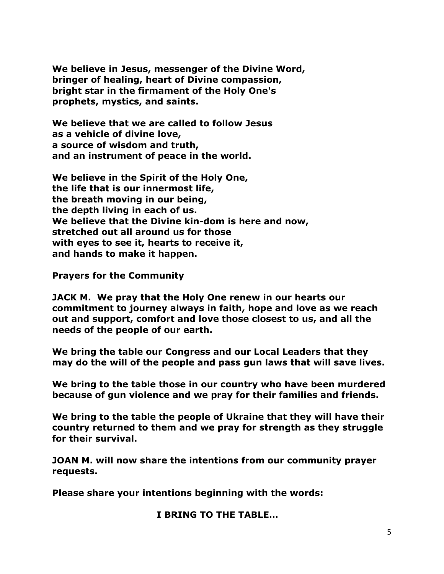**We believe in Jesus, messenger of the Divine Word, bringer of healing, heart of Divine compassion, bright star in the firmament of the Holy One's prophets, mystics, and saints.** 

**We believe that we are called to follow Jesus as a vehicle of divine love, a source of wisdom and truth, and an instrument of peace in the world.** 

**We believe in the Spirit of the Holy One, the life that is our innermost life, the breath moving in our being, the depth living in each of us. We believe that the Divine kin-dom is here and now, stretched out all around us for those with eyes to see it, hearts to receive it, and hands to make it happen.** 

**Prayers for the Community**

**JACK M. We pray that the Holy One renew in our hearts our commitment to journey always in faith, hope and love as we reach out and support, comfort and love those closest to us, and all the needs of the people of our earth.**

**We bring the table our Congress and our Local Leaders that they may do the will of the people and pass gun laws that will save lives.**

**We bring to the table those in our country who have been murdered because of gun violence and we pray for their families and friends.**

**We bring to the table the people of Ukraine that they will have their country returned to them and we pray for strength as they struggle for their survival.**

**JOAN M. will now share the intentions from our community prayer requests.**

**Please share your intentions beginning with the words:**

**I BRING TO THE TABLE…**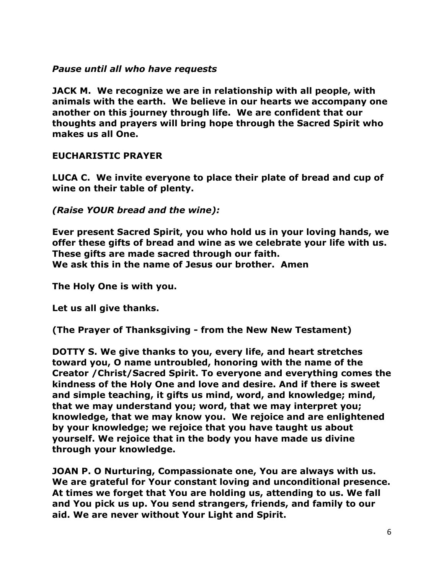# *Pause until all who have requests*

**JACK M. We recognize we are in relationship with all people, with animals with the earth. We believe in our hearts we accompany one another on this journey through life. We are confident that our thoughts and prayers will bring hope through the Sacred Spirit who makes us all One.**

# **EUCHARISTIC PRAYER**

**LUCA C. We invite everyone to place their plate of bread and cup of wine on their table of plenty.**

*(Raise YOUR bread and the wine):* 

**Ever present Sacred Spirit, you who hold us in your loving hands, we offer these gifts of bread and wine as we celebrate your life with us. These gifts are made sacred through our faith. We ask this in the name of Jesus our brother. Amen**

**The Holy One is with you.** 

**Let us all give thanks.** 

**(The Prayer of Thanksgiving - from the New New Testament)**

**DOTTY S. We give thanks to you, every life, and heart stretches toward you, O name untroubled, honoring with the name of the Creator /Christ/Sacred Spirit. To everyone and everything comes the kindness of the Holy One and love and desire. And if there is sweet and simple teaching, it gifts us mind, word, and knowledge; mind, that we may understand you; word, that we may interpret you; knowledge, that we may know you. We rejoice and are enlightened by your knowledge; we rejoice that you have taught us about yourself. We rejoice that in the body you have made us divine through your knowledge.** 

**JOAN P. O Nurturing, Compassionate one, You are always with us. We are grateful for Your constant loving and unconditional presence. At times we forget that You are holding us, attending to us. We fall and You pick us up. You send strangers, friends, and family to our aid. We are never without Your Light and Spirit.**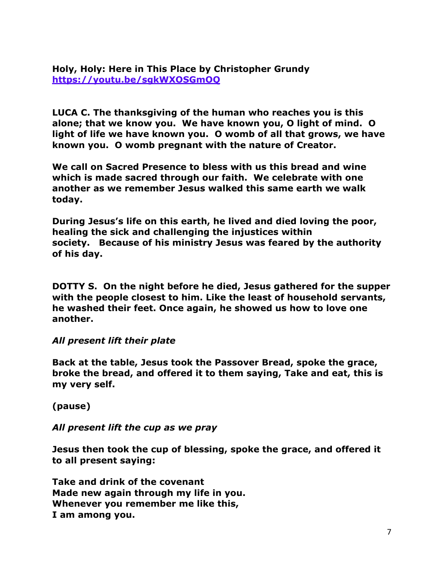# **Holy, Holy: Here in This Place by Christopher Grundy <https://youtu.be/sgkWXOSGmOQ>**

**LUCA C. The thanksgiving of the human who reaches you is this alone; that we know you. We have known you, O light of mind. O light of life we have known you. O womb of all that grows, we have known you. O womb pregnant with the nature of Creator.**

**We call on Sacred Presence to bless with us this bread and wine which is made sacred through our faith. We celebrate with one another as we remember Jesus walked this same earth we walk today.**

**During Jesus's life on this earth, he lived and died loving the poor, healing the sick and challenging the injustices within society. Because of his ministry Jesus was feared by the authority of his day.**

**DOTTY S. On the night before he died, Jesus gathered for the supper with the people closest to him. Like the least of household servants, he washed their feet. Once again, he showed us how to love one another.**

#### *All present lift their plate*

**Back at the table, Jesus took the Passover Bread, spoke the grace, broke the bread, and offered it to them saying, Take and eat, this is my very self.**

**(pause)**

*All present lift the cup as we pray* 

**Jesus then took the cup of blessing, spoke the grace, and offered it to all present saying:**

**Take and drink of the covenant Made new again through my life in you. Whenever you remember me like this, I am among you.**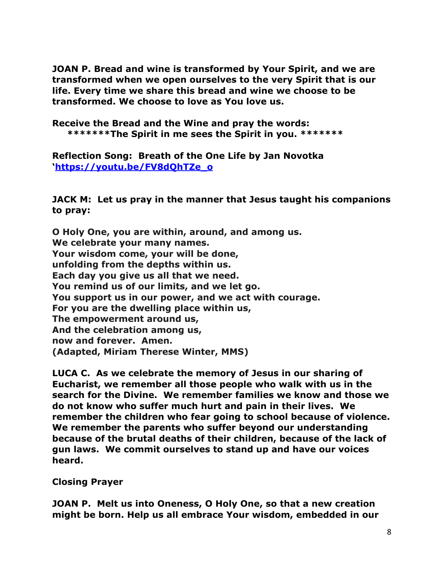**JOAN P. Bread and wine is transformed by Your Spirit, and we are transformed when we open ourselves to the very Spirit that is our life. Every time we share this bread and wine we choose to be transformed. We choose to love as You love us.**

**Receive the Bread and the Wine and pray the words: \*\*\*\*\*\*\*The Spirit in me sees the Spirit in you. \*\*\*\*\*\*\***

**Reflection Song: Breath of the One Life by Jan Novotka '[https://youtu.be/FV8dQhTZe\\_o](https://youtu.be/FV8dQhTZe_o)**

**JACK M: Let us pray in the manner that Jesus taught his companions to pray:**

**O Holy One, you are within, around, and among us. We celebrate your many names. Your wisdom come, your will be done, unfolding from the depths within us. Each day you give us all that we need. You remind us of our limits, and we let go. You support us in our power, and we act with courage. For you are the dwelling place within us, The empowerment around us, And the celebration among us, now and forever. Amen. (Adapted, Miriam Therese Winter, MMS)**

**LUCA C. As we celebrate the memory of Jesus in our sharing of Eucharist, we remember all those people who walk with us in the search for the Divine. We remember families we know and those we do not know who suffer much hurt and pain in their lives. We remember the children who fear going to school because of violence. We remember the parents who suffer beyond our understanding because of the brutal deaths of their children, because of the lack of gun laws. We commit ourselves to stand up and have our voices heard.**

**Closing Prayer**

**JOAN P. Melt us into Oneness, O Holy One, so that a new creation might be born. Help us all embrace Your wisdom, embedded in our**